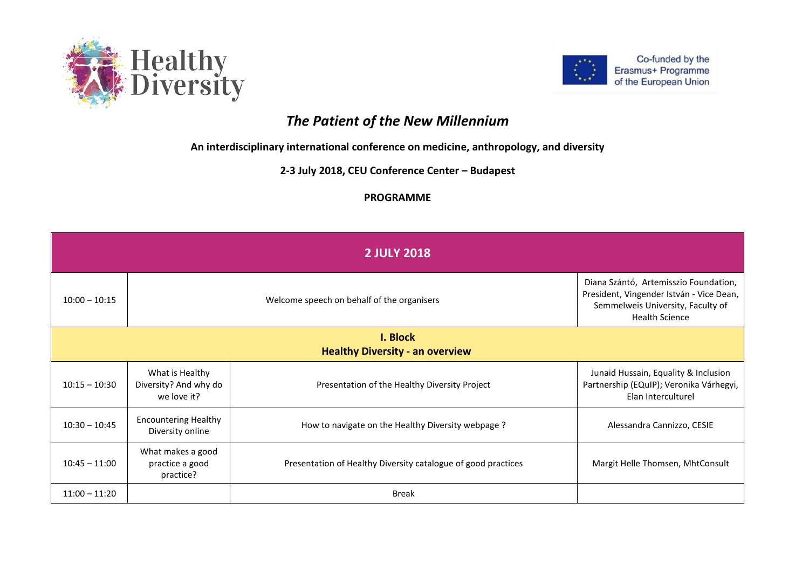



## *The Patient of the New Millennium*

**An interdisciplinary international conference on medicine, anthropology, and diversity**

**2-3 July 2018, CEU Conference Center – Budapest**

## **PROGRAMME**

| <b>2 JULY 2018</b> |                                                         |                                                               |                                                                                                                                                 |  |
|--------------------|---------------------------------------------------------|---------------------------------------------------------------|-------------------------------------------------------------------------------------------------------------------------------------------------|--|
| $10:00 - 10:15$    | Welcome speech on behalf of the organisers              |                                                               | Diana Szántó, Artemisszio Foundation,<br>President, Vingender István - Vice Dean,<br>Semmelweis University, Faculty of<br><b>Health Science</b> |  |
| I. Block           |                                                         |                                                               |                                                                                                                                                 |  |
|                    |                                                         | <b>Healthy Diversity - an overview</b>                        |                                                                                                                                                 |  |
| $10:15 - 10:30$    | What is Healthy<br>Diversity? And why do<br>we love it? | Presentation of the Healthy Diversity Project                 | Junaid Hussain, Equality & Inclusion<br>Partnership (EQuIP); Veronika Várhegyi,<br>Elan Interculturel                                           |  |
| $10:30 - 10:45$    | <b>Encountering Healthy</b><br>Diversity online         | How to navigate on the Healthy Diversity webpage?             | Alessandra Cannizzo, CESIE                                                                                                                      |  |
| $10:45 - 11:00$    | What makes a good<br>practice a good<br>practice?       | Presentation of Healthy Diversity catalogue of good practices | Margit Helle Thomsen, MhtConsult                                                                                                                |  |
| $11:00 - 11:20$    |                                                         | <b>Break</b>                                                  |                                                                                                                                                 |  |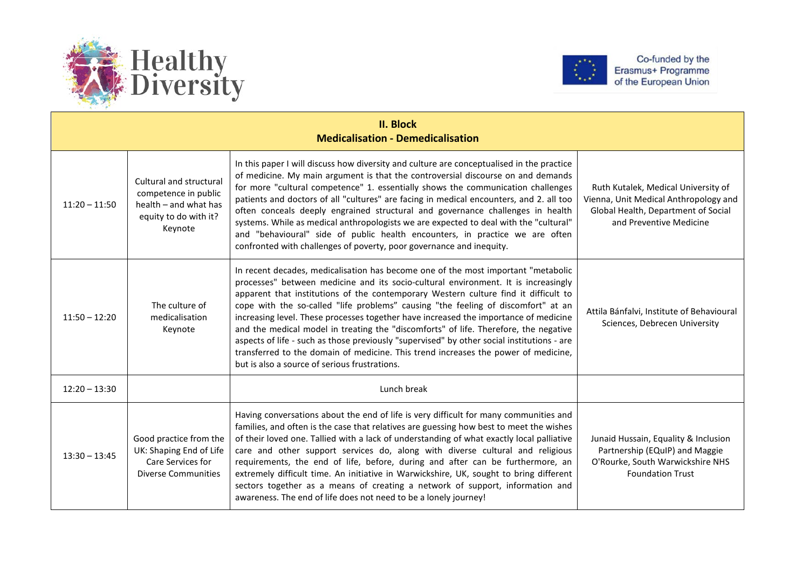



| <b>II. Block</b><br><b>Medicalisation - Demedicalisation</b> |                                                                                                              |                                                                                                                                                                                                                                                                                                                                                                                                                                                                                                                                                                                                                                                                                                                                                                          |                                                                                                                                                |
|--------------------------------------------------------------|--------------------------------------------------------------------------------------------------------------|--------------------------------------------------------------------------------------------------------------------------------------------------------------------------------------------------------------------------------------------------------------------------------------------------------------------------------------------------------------------------------------------------------------------------------------------------------------------------------------------------------------------------------------------------------------------------------------------------------------------------------------------------------------------------------------------------------------------------------------------------------------------------|------------------------------------------------------------------------------------------------------------------------------------------------|
| $11:20 - 11:50$                                              | Cultural and structural<br>competence in public<br>health - and what has<br>equity to do with it?<br>Keynote | In this paper I will discuss how diversity and culture are conceptualised in the practice<br>of medicine. My main argument is that the controversial discourse on and demands<br>for more "cultural competence" 1. essentially shows the communication challenges<br>patients and doctors of all "cultures" are facing in medical encounters, and 2. all too<br>often conceals deeply engrained structural and governance challenges in health<br>systems. While as medical anthropologists we are expected to deal with the "cultural"<br>and "behavioural" side of public health encounters, in practice we are often<br>confronted with challenges of poverty, poor governance and inequity.                                                                          | Ruth Kutalek, Medical University of<br>Vienna, Unit Medical Anthropology and<br>Global Health, Department of Social<br>and Preventive Medicine |
| $11:50 - 12:20$                                              | The culture of<br>medicalisation<br>Keynote                                                                  | In recent decades, medicalisation has become one of the most important "metabolic<br>processes" between medicine and its socio-cultural environment. It is increasingly<br>apparent that institutions of the contemporary Western culture find it difficult to<br>cope with the so-called "life problems" causing "the feeling of discomfort" at an<br>increasing level. These processes together have increased the importance of medicine<br>and the medical model in treating the "discomforts" of life. Therefore, the negative<br>aspects of life - such as those previously "supervised" by other social institutions - are<br>transferred to the domain of medicine. This trend increases the power of medicine,<br>but is also a source of serious frustrations. | Attila Bánfalvi, Institute of Behavioural<br>Sciences, Debrecen University                                                                     |
| $12:20 - 13:30$                                              |                                                                                                              | Lunch break                                                                                                                                                                                                                                                                                                                                                                                                                                                                                                                                                                                                                                                                                                                                                              |                                                                                                                                                |
| $13:30 - 13:45$                                              | Good practice from the<br>UK: Shaping End of Life<br>Care Services for<br><b>Diverse Communities</b>         | Having conversations about the end of life is very difficult for many communities and<br>families, and often is the case that relatives are guessing how best to meet the wishes<br>of their loved one. Tallied with a lack of understanding of what exactly local palliative<br>care and other support services do, along with diverse cultural and religious<br>requirements, the end of life, before, during and after can be furthermore, an<br>extremely difficult time. An initiative in Warwickshire, UK, sought to bring different<br>sectors together as a means of creating a network of support, information and<br>awareness. The end of life does not need to be a lonely journey!                                                                          | Junaid Hussain, Equality & Inclusion<br>Partnership (EQuIP) and Maggie<br>O'Rourke, South Warwickshire NHS<br><b>Foundation Trust</b>          |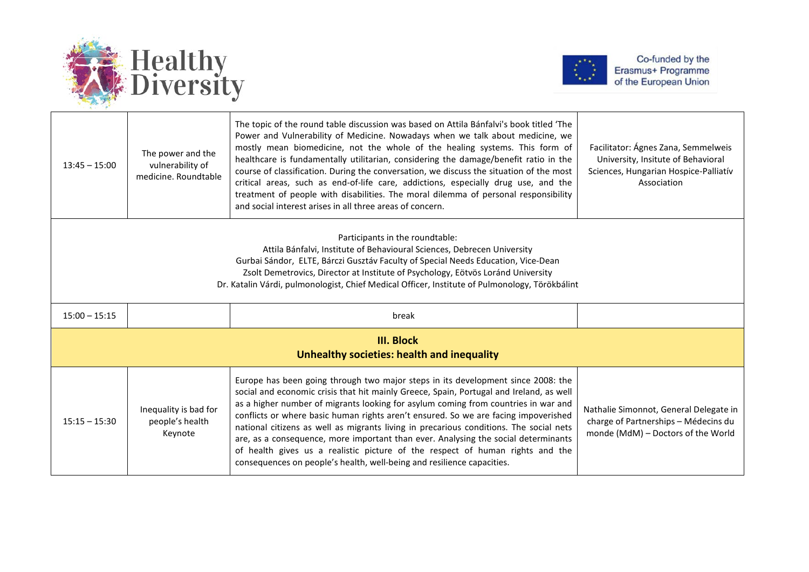



| $13:45 - 15:00$                                                                                                                                                                                                                                                                                                                                                                       | The power and the<br>vulnerability of<br>medicine. Roundtable | The topic of the round table discussion was based on Attila Bánfalvi's book titled 'The<br>Power and Vulnerability of Medicine. Nowadays when we talk about medicine, we<br>mostly mean biomedicine, not the whole of the healing systems. This form of<br>healthcare is fundamentally utilitarian, considering the damage/benefit ratio in the<br>course of classification. During the conversation, we discuss the situation of the most<br>critical areas, such as end-of-life care, addictions, especially drug use, and the<br>treatment of people with disabilities. The moral dilemma of personal responsibility<br>and social interest arises in all three areas of concern.                | Facilitator: Ágnes Zana, Semmelweis<br>University, Insitute of Behavioral<br>Sciences, Hungarian Hospice-Palliatív<br>Association |  |
|---------------------------------------------------------------------------------------------------------------------------------------------------------------------------------------------------------------------------------------------------------------------------------------------------------------------------------------------------------------------------------------|---------------------------------------------------------------|-----------------------------------------------------------------------------------------------------------------------------------------------------------------------------------------------------------------------------------------------------------------------------------------------------------------------------------------------------------------------------------------------------------------------------------------------------------------------------------------------------------------------------------------------------------------------------------------------------------------------------------------------------------------------------------------------------|-----------------------------------------------------------------------------------------------------------------------------------|--|
| Participants in the roundtable:<br>Attila Bánfalvi, Institute of Behavioural Sciences, Debrecen University<br>Gurbai Sándor, ELTE, Bárczi Gusztáv Faculty of Special Needs Education, Vice-Dean<br>Zsolt Demetrovics, Director at Institute of Psychology, Eötvös Loránd University<br>Dr. Katalin Várdi, pulmonologist, Chief Medical Officer, Institute of Pulmonology, Törökbálint |                                                               |                                                                                                                                                                                                                                                                                                                                                                                                                                                                                                                                                                                                                                                                                                     |                                                                                                                                   |  |
| $15:00 - 15:15$                                                                                                                                                                                                                                                                                                                                                                       |                                                               | break                                                                                                                                                                                                                                                                                                                                                                                                                                                                                                                                                                                                                                                                                               |                                                                                                                                   |  |
| <b>III. Block</b><br>Unhealthy societies: health and inequality                                                                                                                                                                                                                                                                                                                       |                                                               |                                                                                                                                                                                                                                                                                                                                                                                                                                                                                                                                                                                                                                                                                                     |                                                                                                                                   |  |
| $15:15 - 15:30$                                                                                                                                                                                                                                                                                                                                                                       | Inequality is bad for<br>people's health<br>Keynote           | Europe has been going through two major steps in its development since 2008: the<br>social and economic crisis that hit mainly Greece, Spain, Portugal and Ireland, as well<br>as a higher number of migrants looking for asylum coming from countries in war and<br>conflicts or where basic human rights aren't ensured. So we are facing impoverished<br>national citizens as well as migrants living in precarious conditions. The social nets<br>are, as a consequence, more important than ever. Analysing the social determinants<br>of health gives us a realistic picture of the respect of human rights and the<br>consequences on people's health, well-being and resilience capacities. | Nathalie Simonnot, General Delegate in<br>charge of Partnerships - Médecins du<br>monde (MdM) - Doctors of the World              |  |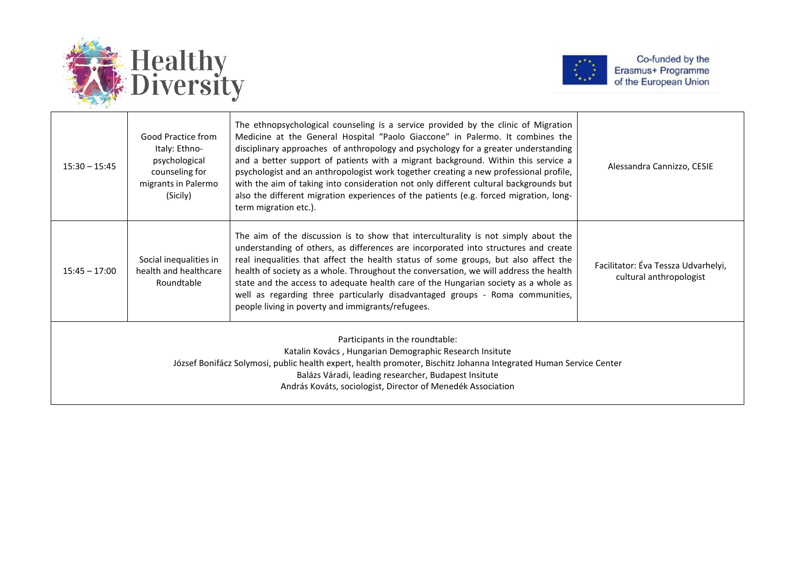



| $15:30 - 15:45$                                                                                                                                                                                                                                                                                                                        | Good Practice from<br>Italy: Ethno-<br>psychological<br>counseling for<br>migrants in Palermo<br>(Sicily) | The ethnopsychological counseling is a service provided by the clinic of Migration<br>Medicine at the General Hospital "Paolo Giaccone" in Palermo. It combines the<br>disciplinary approaches of anthropology and psychology for a greater understanding<br>and a better support of patients with a migrant background. Within this service a<br>psychologist and an anthropologist work together creating a new professional profile,<br>with the aim of taking into consideration not only different cultural backgrounds but<br>also the different migration experiences of the patients (e.g. forced migration, long-<br>term migration etc.). | Alessandra Cannizzo, CESIE                                     |
|----------------------------------------------------------------------------------------------------------------------------------------------------------------------------------------------------------------------------------------------------------------------------------------------------------------------------------------|-----------------------------------------------------------------------------------------------------------|-----------------------------------------------------------------------------------------------------------------------------------------------------------------------------------------------------------------------------------------------------------------------------------------------------------------------------------------------------------------------------------------------------------------------------------------------------------------------------------------------------------------------------------------------------------------------------------------------------------------------------------------------------|----------------------------------------------------------------|
| $15:45 - 17:00$                                                                                                                                                                                                                                                                                                                        | Social inequalities in<br>health and healthcare<br>Roundtable                                             | The aim of the discussion is to show that interculturality is not simply about the<br>understanding of others, as differences are incorporated into structures and create<br>real inequalities that affect the health status of some groups, but also affect the<br>health of society as a whole. Throughout the conversation, we will address the health<br>state and the access to adequate health care of the Hungarian society as a whole as<br>well as regarding three particularly disadvantaged groups - Roma communities,<br>people living in poverty and immigrants/refugees.                                                              | Facilitator: Éva Tessza Udvarhelyi,<br>cultural anthropologist |
| Participants in the roundtable:<br>Katalin Kovács, Hungarian Demographic Research Insitute<br>József Bonifácz Solymosi, public health expert, health promoter, Bischitz Johanna Integrated Human Service Center<br>Balázs Váradi, leading researcher, Budapest Insitute<br>András Kováts, sociologist, Director of Menedék Association |                                                                                                           |                                                                                                                                                                                                                                                                                                                                                                                                                                                                                                                                                                                                                                                     |                                                                |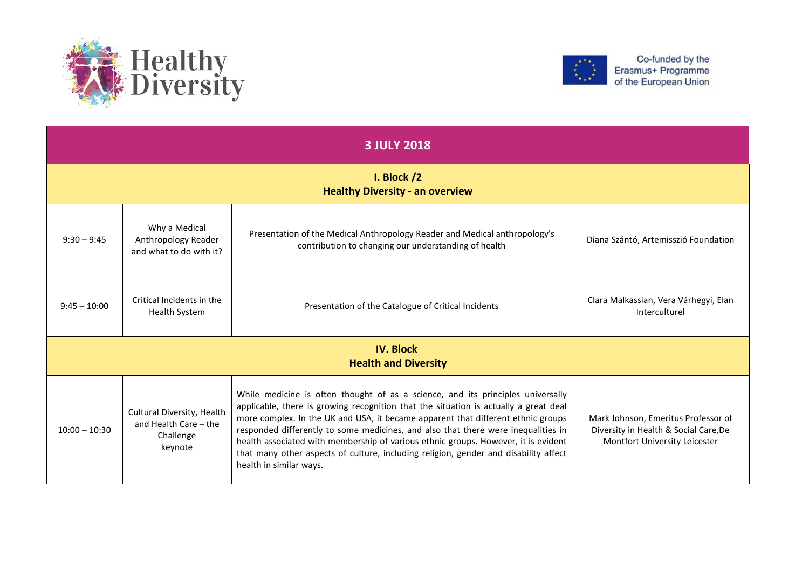



| <b>3 JULY 2018</b>                                      |                                                                             |                                                                                                                                                                                                                                                                                                                                                                                                                                                                                                                                                           |                                                                                                               |  |
|---------------------------------------------------------|-----------------------------------------------------------------------------|-----------------------------------------------------------------------------------------------------------------------------------------------------------------------------------------------------------------------------------------------------------------------------------------------------------------------------------------------------------------------------------------------------------------------------------------------------------------------------------------------------------------------------------------------------------|---------------------------------------------------------------------------------------------------------------|--|
| I. Block $/2$<br><b>Healthy Diversity - an overview</b> |                                                                             |                                                                                                                                                                                                                                                                                                                                                                                                                                                                                                                                                           |                                                                                                               |  |
| $9:30 - 9:45$                                           | Why a Medical<br>Anthropology Reader<br>and what to do with it?             | Presentation of the Medical Anthropology Reader and Medical anthropology's<br>contribution to changing our understanding of health                                                                                                                                                                                                                                                                                                                                                                                                                        | Diana Szántó, Artemisszió Foundation                                                                          |  |
| $9:45 - 10:00$                                          | Critical Incidents in the<br><b>Health System</b>                           | Presentation of the Catalogue of Critical Incidents                                                                                                                                                                                                                                                                                                                                                                                                                                                                                                       | Clara Malkassian, Vera Várhegyi, Elan<br>Interculturel                                                        |  |
| <b>IV. Block</b><br><b>Health and Diversity</b>         |                                                                             |                                                                                                                                                                                                                                                                                                                                                                                                                                                                                                                                                           |                                                                                                               |  |
| $10:00 - 10:30$                                         | Cultural Diversity, Health<br>and Health Care - the<br>Challenge<br>keynote | While medicine is often thought of as a science, and its principles universally<br>applicable, there is growing recognition that the situation is actually a great deal<br>more complex. In the UK and USA, it became apparent that different ethnic groups<br>responded differently to some medicines, and also that there were inequalities in<br>health associated with membership of various ethnic groups. However, it is evident<br>that many other aspects of culture, including religion, gender and disability affect<br>health in similar ways. | Mark Johnson, Emeritus Professor of<br>Diversity in Health & Social Care, De<br>Montfort University Leicester |  |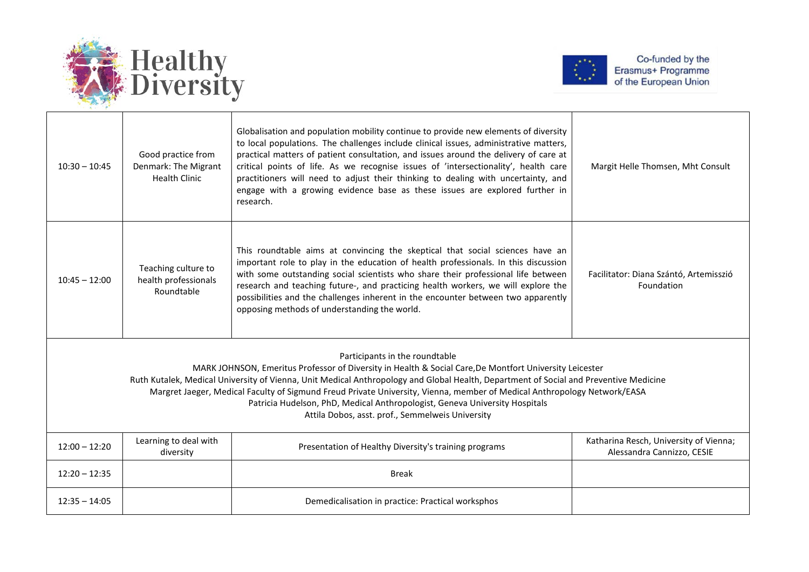



| $10:30 - 10:45$                                                                                                                                                                                                                                                                                                                                                                                                                                                                                                                                   | Good practice from<br>Denmark: The Migrant<br><b>Health Clinic</b> | Globalisation and population mobility continue to provide new elements of diversity<br>to local populations. The challenges include clinical issues, administrative matters,<br>practical matters of patient consultation, and issues around the delivery of care at<br>critical points of life. As we recognise issues of 'intersectionality', health care<br>practitioners will need to adjust their thinking to dealing with uncertainty, and<br>engage with a growing evidence base as these issues are explored further in<br>research. | Margit Helle Thomsen, Mht Consult                                    |  |
|---------------------------------------------------------------------------------------------------------------------------------------------------------------------------------------------------------------------------------------------------------------------------------------------------------------------------------------------------------------------------------------------------------------------------------------------------------------------------------------------------------------------------------------------------|--------------------------------------------------------------------|----------------------------------------------------------------------------------------------------------------------------------------------------------------------------------------------------------------------------------------------------------------------------------------------------------------------------------------------------------------------------------------------------------------------------------------------------------------------------------------------------------------------------------------------|----------------------------------------------------------------------|--|
| $10:45 - 12:00$                                                                                                                                                                                                                                                                                                                                                                                                                                                                                                                                   | Teaching culture to<br>health professionals<br>Roundtable          | This roundtable aims at convincing the skeptical that social sciences have an<br>important role to play in the education of health professionals. In this discussion<br>with some outstanding social scientists who share their professional life between<br>research and teaching future-, and practicing health workers, we will explore the<br>possibilities and the challenges inherent in the encounter between two apparently<br>opposing methods of understanding the world.                                                          | Facilitator: Diana Szántó, Artemisszió<br>Foundation                 |  |
| Participants in the roundtable<br>MARK JOHNSON, Emeritus Professor of Diversity in Health & Social Care, De Montfort University Leicester<br>Ruth Kutalek, Medical University of Vienna, Unit Medical Anthropology and Global Health, Department of Social and Preventive Medicine<br>Margret Jaeger, Medical Faculty of Sigmund Freud Private University, Vienna, member of Medical Anthropology Network/EASA<br>Patricia Hudelson, PhD, Medical Anthropologist, Geneva University Hospitals<br>Attila Dobos, asst. prof., Semmelweis University |                                                                    |                                                                                                                                                                                                                                                                                                                                                                                                                                                                                                                                              |                                                                      |  |
| $12:00 - 12:20$                                                                                                                                                                                                                                                                                                                                                                                                                                                                                                                                   | Learning to deal with<br>diversity                                 | Presentation of Healthy Diversity's training programs                                                                                                                                                                                                                                                                                                                                                                                                                                                                                        | Katharina Resch, University of Vienna;<br>Alessandra Cannizzo, CESIE |  |
| $12:20 - 12:35$                                                                                                                                                                                                                                                                                                                                                                                                                                                                                                                                   |                                                                    | <b>Break</b>                                                                                                                                                                                                                                                                                                                                                                                                                                                                                                                                 |                                                                      |  |
| $12:35 - 14:05$                                                                                                                                                                                                                                                                                                                                                                                                                                                                                                                                   |                                                                    | Demedicalisation in practice: Practical worksphos                                                                                                                                                                                                                                                                                                                                                                                                                                                                                            |                                                                      |  |